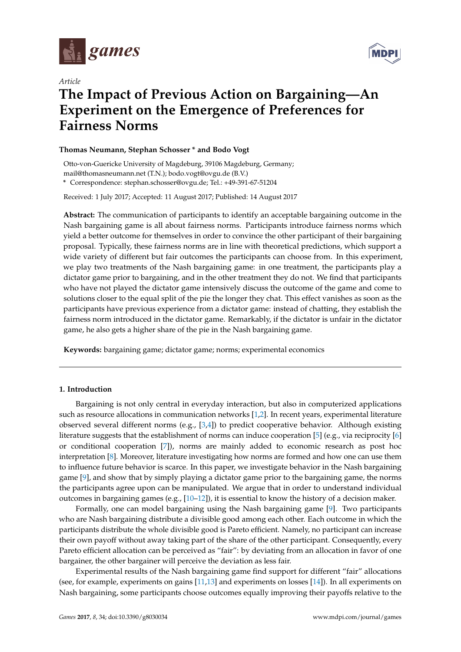

*Article*



# **The Impact of Previous Action on Bargaining—An Experiment on the Emergence of Preferences for Fairness Norms**

### **Thomas Neumann, Stephan Schosser \* and Bodo Vogt**

Otto-von-Guericke University of Magdeburg, 39106 Magdeburg, Germany; mail@thomasneumann.net (T.N.); bodo.vogt@ovgu.de (B.V.)

**\*** Correspondence: stephan.schosser@ovgu.de; Tel.: +49-391-67-51204

Received: 1 July 2017; Accepted: 11 August 2017; Published: 14 August 2017

**Abstract:** The communication of participants to identify an acceptable bargaining outcome in the Nash bargaining game is all about fairness norms. Participants introduce fairness norms which yield a better outcome for themselves in order to convince the other participant of their bargaining proposal. Typically, these fairness norms are in line with theoretical predictions, which support a wide variety of different but fair outcomes the participants can choose from. In this experiment, we play two treatments of the Nash bargaining game: in one treatment, the participants play a dictator game prior to bargaining, and in the other treatment they do not. We find that participants who have not played the dictator game intensively discuss the outcome of the game and come to solutions closer to the equal split of the pie the longer they chat. This effect vanishes as soon as the participants have previous experience from a dictator game: instead of chatting, they establish the fairness norm introduced in the dictator game. Remarkably, if the dictator is unfair in the dictator game, he also gets a higher share of the pie in the Nash bargaining game.

**Keywords:** bargaining game; dictator game; norms; experimental economics

## <span id="page-0-0"></span>**1. Introduction**

Bargaining is not only central in everyday interaction, but also in computerized applications such as resource allocations in communication networks [\[1](#page-7-0)[,2\]](#page-7-1). In recent years, experimental literature observed several different norms (e.g., [\[3,](#page-7-2)[4\]](#page-7-3)) to predict cooperative behavior. Although existing literature suggests that the establishment of norms can induce cooperation [\[5\]](#page-7-4) (e.g., via reciprocity [\[6\]](#page-7-5) or conditional cooperation [\[7\]](#page-7-6)), norms are mainly added to economic research as post hoc interpretation [\[8\]](#page-7-7). Moreover, literature investigating how norms are formed and how one can use them to influence future behavior is scarce. In this paper, we investigate behavior in the Nash bargaining game [\[9\]](#page-7-8), and show that by simply playing a dictator game prior to the bargaining game, the norms the participants agree upon can be manipulated. We argue that in order to understand individual outcomes in bargaining games (e.g., [\[10](#page-7-9)[–12\]](#page-7-10)), it is essential to know the history of a decision maker.

Formally, one can model bargaining using the Nash bargaining game [\[9\]](#page-7-8). Two participants who are Nash bargaining distribute a divisible good among each other. Each outcome in which the participants distribute the whole divisible good is Pareto efficient. Namely, no participant can increase their own payoff without away taking part of the share of the other participant. Consequently, every Pareto efficient allocation can be perceived as "fair": by deviating from an allocation in favor of one bargainer, the other bargainer will perceive the deviation as less fair.

Experimental results of the Nash bargaining game find support for different "fair" allocations (see, for example, experiments on gains [\[11](#page-7-11)[,13\]](#page-7-12) and experiments on losses [\[14\]](#page-8-0)). In all experiments on Nash bargaining, some participants choose outcomes equally improving their payoffs relative to the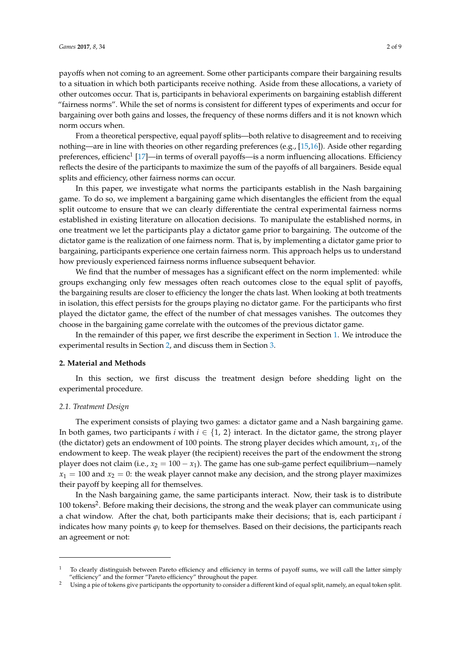payoffs when not coming to an agreement. Some other participants compare their bargaining results to a situation in which both participants receive nothing. Aside from these allocations, a variety of other outcomes occur. That is, participants in behavioral experiments on bargaining establish different "fairness norms". While the set of norms is consistent for different types of experiments and occur for bargaining over both gains and losses, the frequency of these norms differs and it is not known which norm occurs when.

From a theoretical perspective, equal payoff splits—both relative to disagreement and to receiving nothing—are in line with theories on other regarding preferences (e.g., [\[15](#page-8-1)[,16\]](#page-8-2)). Aside other regarding preferences, efficienc $^{1}$  [\[17\]](#page-8-3)—in terms of overall payoffs—is a norm influencing allocations. Efficiency reflects the desire of the participants to maximize the sum of the payoffs of all bargainers. Beside equal splits and efficiency, other fairness norms can occur.

In this paper, we investigate what norms the participants establish in the Nash bargaining game. To do so, we implement a bargaining game which disentangles the efficient from the equal split outcome to ensure that we can clearly differentiate the central experimental fairness norms established in existing literature on allocation decisions. To manipulate the established norms, in one treatment we let the participants play a dictator game prior to bargaining. The outcome of the dictator game is the realization of one fairness norm. That is, by implementing a dictator game prior to bargaining, participants experience one certain fairness norm. This approach helps us to understand how previously experienced fairness norms influence subsequent behavior.

We find that the number of messages has a significant effect on the norm implemented: while groups exchanging only few messages often reach outcomes close to the equal split of payoffs, the bargaining results are closer to efficiency the longer the chats last. When looking at both treatments in isolation, this effect persists for the groups playing no dictator game. For the participants who first played the dictator game, the effect of the number of chat messages vanishes. The outcomes they choose in the bargaining game correlate with the outcomes of the previous dictator game.

In the remainder of this paper, we first describe the experiment in Section [1.](#page-0-0) We introduce the experimental results in Section [2,](#page-1-0) and discuss them in Section [3.](#page-3-0)

#### <span id="page-1-0"></span>**2. Material and Methods**

In this section, we first discuss the treatment design before shedding light on the experimental procedure.

#### <span id="page-1-1"></span>*2.1. Treatment Design*

The experiment consists of playing two games: a dictator game and a Nash bargaining game. In both games, two participants *i* with  $i \in \{1, 2\}$  interact. In the dictator game, the strong player (the dictator) gets an endowment of 100 points. The strong player decides which amount, *x*1, of the endowment to keep. The weak player (the recipient) receives the part of the endowment the strong player does not claim (i.e.,  $x_2 = 100 - x_1$ ). The game has one sub-game perfect equilibrium—namely  $x_1 = 100$  and  $x_2 = 0$ : the weak player cannot make any decision, and the strong player maximizes their payoff by keeping all for themselves.

In the Nash bargaining game, the same participants interact. Now, their task is to distribute 100 tokens<sup>2</sup>. Before making their decisions, the strong and the weak player can communicate using a chat window. After the chat, both participants make their decisions; that is, each participant *i* indicates how many points  $\varphi_i$  to keep for themselves. Based on their decisions, the participants reach an agreement or not:

<sup>1</sup> To clearly distinguish between Pareto efficiency and efficiency in terms of payoff sums, we will call the latter simply "efficiency" and the former "Pareto efficiency" throughout the paper.

<sup>&</sup>lt;sup>2</sup> Using a pie of tokens give participants the opportunity to consider a different kind of equal split, namely, an equal token split.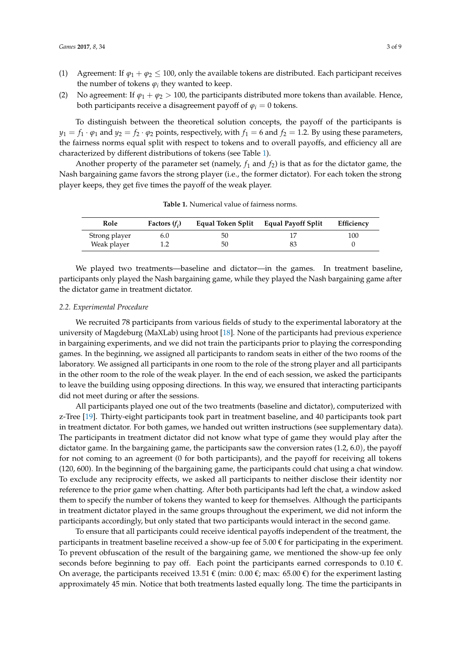- (1) Agreement: If  $\varphi_1 + \varphi_2 \le 100$ , only the available tokens are distributed. Each participant receives the number of tokens  $\varphi_i$  they wanted to keep.
- (2) No agreement: If  $\varphi_1 + \varphi_2 > 100$ , the participants distributed more tokens than available. Hence, both participants receive a disagreement payoff of  $\varphi$ <sup>*i*</sup> = 0 tokens.

To distinguish between the theoretical solution concepts, the payoff of the participants is  $y_1 = f_1 \cdot \varphi_1$  and  $y_2 = f_2 \cdot \varphi_2$  points, respectively, with  $f_1 = 6$  and  $f_2 = 1.2$ . By using these parameters, the fairness norms equal split with respect to tokens and to overall payoffs, and efficiency all are characterized by different distributions of tokens (see Table [1\)](#page-2-0).

Another property of the parameter set (namely,  $f_1$  and  $f_2$ ) is that as for the dictator game, the Nash bargaining game favors the strong player (i.e., the former dictator). For each token the strong player keeps, they get five times the payoff of the weak player.

<span id="page-2-0"></span>

| Role          | Factors $(f_i)$ | Equal Token Split | <b>Equal Payoff Split</b> | Efficiency |
|---------------|-----------------|-------------------|---------------------------|------------|
| Strong player | 6.0             | 50                |                           | 100        |
| Weak player   |                 | 50                |                           |            |

**Table 1.** Numerical value of fairness norms.

We played two treatments—baseline and dictator—in the games. In treatment baseline, participants only played the Nash bargaining game, while they played the Nash bargaining game after the dictator game in treatment dictator.

#### *2.2. Experimental Procedure*

We recruited 78 participants from various fields of study to the experimental laboratory at the university of Magdeburg (MaXLab) using hroot [\[18\]](#page-8-4). None of the participants had previous experience in bargaining experiments, and we did not train the participants prior to playing the corresponding games. In the beginning, we assigned all participants to random seats in either of the two rooms of the laboratory. We assigned all participants in one room to the role of the strong player and all participants in the other room to the role of the weak player. In the end of each session, we asked the participants to leave the building using opposing directions. In this way, we ensured that interacting participants did not meet during or after the sessions.

All participants played one out of the two treatments (baseline and dictator), computerized with z-Tree [\[19\]](#page-8-5). Thirty-eight participants took part in treatment baseline, and 40 participants took part in treatment dictator. For both games, we handed out written instructions (see supplementary data). The participants in treatment dictator did not know what type of game they would play after the dictator game. In the bargaining game, the participants saw the conversion rates (1.2, 6.0), the payoff for not coming to an agreement (0 for both participants), and the payoff for receiving all tokens (120, 600). In the beginning of the bargaining game, the participants could chat using a chat window. To exclude any reciprocity effects, we asked all participants to neither disclose their identity nor reference to the prior game when chatting. After both participants had left the chat, a window asked them to specify the number of tokens they wanted to keep for themselves. Although the participants in treatment dictator played in the same groups throughout the experiment, we did not inform the participants accordingly, but only stated that two participants would interact in the second game.

To ensure that all participants could receive identical payoffs independent of the treatment, the participants in treatment baseline received a show-up fee of 5.00  $\epsilon$  for participating in the experiment. To prevent obfuscation of the result of the bargaining game, we mentioned the show-up fee only seconds before beginning to pay off. Each point the participants earned corresponds to 0.10  $\epsilon$ . On average, the participants received 13.51  $\epsilon$  (min: 0.00  $\epsilon$ ; max: 65.00  $\epsilon$ ) for the experiment lasting approximately 45 min. Notice that both treatments lasted equally long. The time the participants in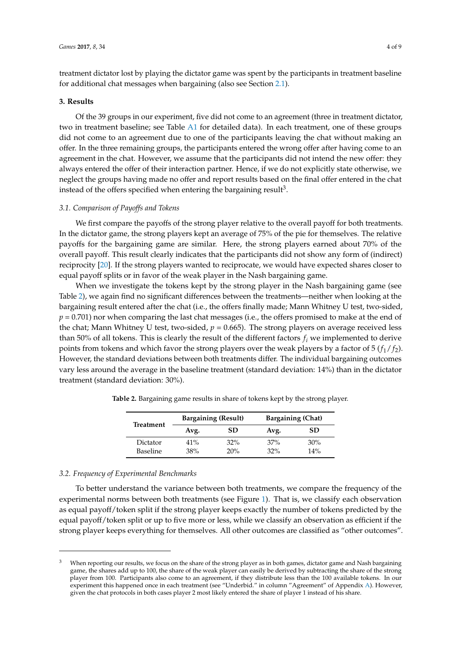treatment dictator lost by playing the dictator game was spent by the participants in treatment baseline for additional chat messages when bargaining (also see Section [2.1\)](#page-1-1).

#### <span id="page-3-0"></span>**3. Results**

Of the 39 groups in our experiment, five did not come to an agreement (three in treatment dictator, two in treatment baseline; see Table [A1](#page-7-13) for detailed data). In each treatment, one of these groups did not come to an agreement due to one of the participants leaving the chat without making an offer. In the three remaining groups, the participants entered the wrong offer after having come to an agreement in the chat. However, we assume that the participants did not intend the new offer: they always entered the offer of their interaction partner. Hence, if we do not explicitly state otherwise, we neglect the groups having made no offer and report results based on the final offer entered in the chat instead of the offers specified when entering the bargaining result<sup>3</sup>.

#### *3.1. Comparison of Payoffs and Tokens*

We first compare the payoffs of the strong player relative to the overall payoff for both treatments. In the dictator game, the strong players kept an average of 75% of the pie for themselves. The relative payoffs for the bargaining game are similar. Here, the strong players earned about 70% of the overall payoff. This result clearly indicates that the participants did not show any form of (indirect) reciprocity [\[20\]](#page-8-6). If the strong players wanted to reciprocate, we would have expected shares closer to equal payoff splits or in favor of the weak player in the Nash bargaining game.

When we investigate the tokens kept by the strong player in the Nash bargaining game (see Table [2\)](#page-3-1), we again find no significant differences between the treatments—neither when looking at the bargaining result entered after the chat (i.e., the offers finally made; Mann Whitney U test, two-sided, *p* = 0.701) nor when comparing the last chat messages (i.e., the offers promised to make at the end of the chat; Mann Whitney U test, two-sided,  $p = 0.665$ ). The strong players on average received less than 50% of all tokens. This is clearly the result of the different factors *f<sup>i</sup>* we implemented to derive points from tokens and which favor the strong players over the weak players by a factor of 5 (*f*1/ *f*2). However, the standard deviations between both treatments differ. The individual bargaining outcomes vary less around the average in the baseline treatment (standard deviation: 14%) than in the dictator treatment (standard deviation: 30%).

| Treatment            |            | <b>Bargaining (Result)</b> | <b>Bargaining (Chat)</b> |            |  |  |
|----------------------|------------|----------------------------|--------------------------|------------|--|--|
|                      | Avg.       | SD                         | Avg.                     | <b>SD</b>  |  |  |
| Dictator<br>Baseline | 41%<br>38% | 32%<br>20%                 | 37%<br>32%               | 30%<br>14% |  |  |

<span id="page-3-1"></span>**Table 2.** Bargaining game results in share of tokens kept by the strong player.

#### *3.2. Frequency of Experimental Benchmarks*

To better understand the variance between both treatments, we compare the frequency of the experimental norms between both treatments (see Figure [1\)](#page-4-0). That is, we classify each observation as equal payoff/token split if the strong player keeps exactly the number of tokens predicted by the equal payoff/token split or up to five more or less, while we classify an observation as efficient if the strong player keeps everything for themselves. All other outcomes are classified as "other outcomes".

<sup>&</sup>lt;sup>3</sup> When reporting our results, we focus on the share of the strong player as in both games, dictator game and Nash bargaining game, the shares add up to 100, the share of the weak player can easily be derived by subtracting the share of the strong player from 100. Participants also come to an agreement, if they distribute less than the 100 available tokens. In our experiment this happened once in each treatment (see "Underbid." in column "Agreement" of Appendix [A\)](#page-6-0). However, given the chat protocols in both cases player 2 most likely entered the share of player 1 instead of his share.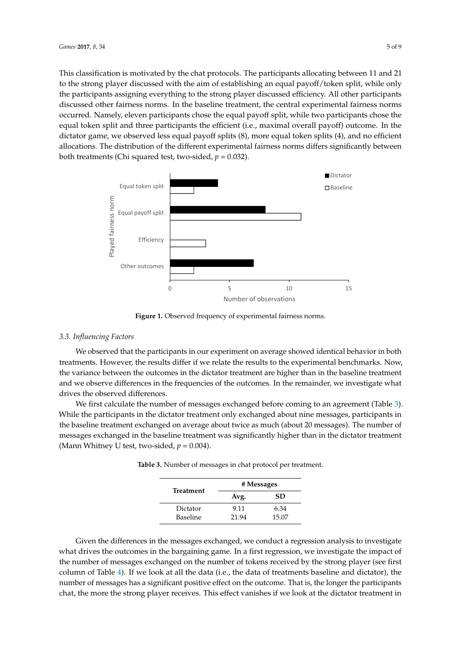This classification is motivated by the chat protocols. The participants allocating between 11 and 21 to the strong player discussed with the aim of establishing an equal payoff/token split, while only the strong the participants assigning everything to the strong player discussed efficiency. All other participants participants assigning everything to the strong player discussed efficiency. All other participants discussed other fairness norms. In the baseline treatment, the central experimental fairness norms discussed other fairness norms. In the baseline treatment, the central experimental fairness norms occurred. Namely, eleven participants chose the equal payoff split, while two participants chose the occurred. Namely, eleven participants chose the equal payoff split, while two participants chose the equal token split and three participants the efficient (i.e., maximal overall payoff) outcome. In the equal token split and three participants the efficient (i.e., maximal overall payoff) outcome. In the dictator game, we observed less equal payoff splits (8), more equal token splits (4), and no efficient dictator game, we observed less equal payoff splits (8), more equal token splits (4), and no efficient allocations. The distribution of the different experimental fairness norms differs significantly between allocations. The distribution of the different experimental fairness norms differs significantly between both treatments (Chi squared test, two-sided, *p* = 0.032). both treatments (Chi squared test, two‐sided, *p* = 0.032).

<span id="page-4-0"></span>

**Figure 1.** Observed frequency of experimental fairness norms. **Figure 1.** Observed frequency of experimental fairness norms.

# *3.3. Influencing Factors 3.3. Influencing Factors*

We observed that the participants in our experiment on average showed identical behavior in We observed that the participants in our experiment on average showed identical behavior in both treatments. However, the results differ if we relate the results to the experimental benchmarks. Now, the variance between the outcomes in the dictator treatment are higher than in the baseline treatment and we observe differences in the frequencies of the outcomes. In the remainder, we investigate what drives the observed differences.

We first calculate the number of messages exchanged before coming to an agreement (Table 3). We first calculate the number of messages exchanged before coming to an agreement (Table [3\)](#page-4-1). While the participants in the dictator treatment only exchanged about nine messages, participants in While the participants in the dictator treatment only exchanged about nine messages, participants in the baseline treatment exchanged on average about twice as much (about 20 messages). The number the baseline treatment exchanged on average about twice as much (about 20 messages). The number of messages exchanged in the baseline treatment was significantly higher than in the dictator treatment (Mann Whitney U test, two-sided,  $p = 0.004$ ).

<span id="page-4-1"></span>

|                 |       | # Messages |
|-----------------|-------|------------|
| Treatment       | Avg.  | <b>SD</b>  |
| Dictator        | 9.11  | 6.34       |
| <b>Baseline</b> | 21.94 | 15.07      |

**Table 3.** Number of messages in chat protocol per treatment.

Given the differences in the messages exchanged, we conduct a regression analysis to investigate what drives the outcomes in the bargaining game. In a first regression, we investigate the impact of the number of messages exchanged on the number of tokens received by the strong player (see first column of Table [4\)](#page-5-0). If we look at all the data (i.e., the data of treatments baseline and dictator), the number of messages has a significant positive effect on the outcome. That is, the longer the participants chat, the more the strong player receives. This effect vanishes if we look at the dictator treatment in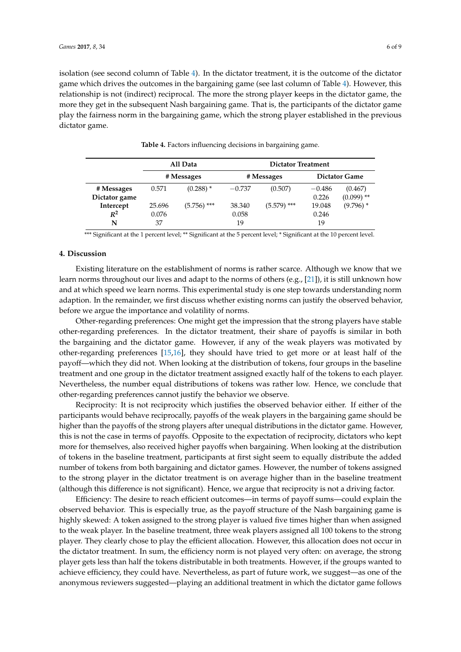isolation (see second column of Table [4\)](#page-5-0). In the dictator treatment, it is the outcome of the dictator game which drives the outcomes in the bargaining game (see last column of Table [4\)](#page-5-0). However, this relationship is not (indirect) reciprocal. The more the strong player keeps in the dictator game, the more they get in the subsequent Nash bargaining game. That is, the participants of the dictator game play the fairness norm in the bargaining game, which the strong player established in the previous dictator game.

<span id="page-5-0"></span>

|               |        | All Data    | <b>Dictator Treatment</b> |               |          |                      |  |  |  |
|---------------|--------|-------------|---------------------------|---------------|----------|----------------------|--|--|--|
|               |        | # Messages  | # Messages                |               |          | <b>Dictator Game</b> |  |  |  |
| # Messages    | 0.571  | $(0.288)$ * | $-0.737$                  | (0.507)       | $-0.486$ | (0.467)              |  |  |  |
| Dictator game |        |             |                           |               | 0.226    | $(0.099)$ **         |  |  |  |
| Intercept     | 25.696 | (5.756) *** | 38.340                    | $(5.579)$ *** | 19.048   | $(9.796)$ *          |  |  |  |
| $R^2$         | 0.076  |             | 0.058                     |               | 0.246    |                      |  |  |  |
| N             | 37     |             | 19                        |               | 19       |                      |  |  |  |

**Table 4.** Factors influencing decisions in bargaining game.

\*\*\* Significant at the 1 percent level; \*\* Significant at the 5 percent level; \* Significant at the 10 percent level.

#### **4. Discussion**

Existing literature on the establishment of norms is rather scarce. Although we know that we learn norms throughout our lives and adapt to the norms of others (e.g., [\[21\]](#page-8-7)), it is still unknown how and at which speed we learn norms. This experimental study is one step towards understanding norm adaption. In the remainder, we first discuss whether existing norms can justify the observed behavior, before we argue the importance and volatility of norms.

Other-regarding preferences: One might get the impression that the strong players have stable other-regarding preferences. In the dictator treatment, their share of payoffs is similar in both the bargaining and the dictator game. However, if any of the weak players was motivated by other-regarding preferences [\[15](#page-8-1)[,16\]](#page-8-2), they should have tried to get more or at least half of the payoff—which they did not. When looking at the distribution of tokens, four groups in the baseline treatment and one group in the dictator treatment assigned exactly half of the tokens to each player. Nevertheless, the number equal distributions of tokens was rather low. Hence, we conclude that other-regarding preferences cannot justify the behavior we observe.

Reciprocity: It is not reciprocity which justifies the observed behavior either. If either of the participants would behave reciprocally, payoffs of the weak players in the bargaining game should be higher than the payoffs of the strong players after unequal distributions in the dictator game. However, this is not the case in terms of payoffs. Opposite to the expectation of reciprocity, dictators who kept more for themselves, also received higher payoffs when bargaining. When looking at the distribution of tokens in the baseline treatment, participants at first sight seem to equally distribute the added number of tokens from both bargaining and dictator games. However, the number of tokens assigned to the strong player in the dictator treatment is on average higher than in the baseline treatment (although this difference is not significant). Hence, we argue that reciprocity is not a driving factor.

Efficiency: The desire to reach efficient outcomes—in terms of payoff sums—could explain the observed behavior. This is especially true, as the payoff structure of the Nash bargaining game is highly skewed: A token assigned to the strong player is valued five times higher than when assigned to the weak player. In the baseline treatment, three weak players assigned all 100 tokens to the strong player. They clearly chose to play the efficient allocation. However, this allocation does not occur in the dictator treatment. In sum, the efficiency norm is not played very often: on average, the strong player gets less than half the tokens distributable in both treatments. However, if the groups wanted to achieve efficiency, they could have. Nevertheless, as part of future work, we suggest—as one of the anonymous reviewers suggested—playing an additional treatment in which the dictator game follows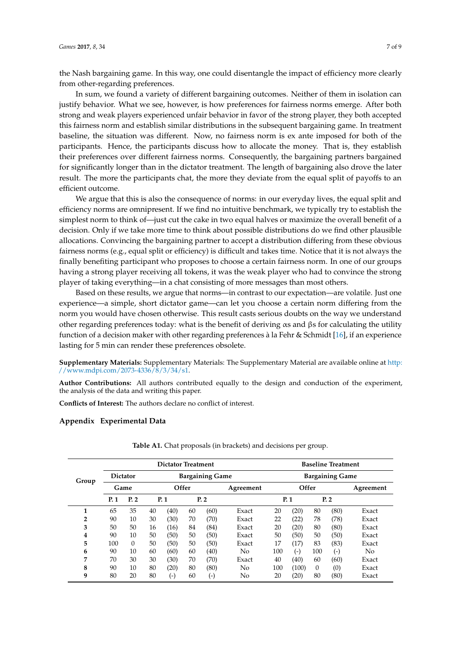the Nash bargaining game. In this way, one could disentangle the impact of efficiency more clearly from other-regarding preferences.

In sum, we found a variety of different bargaining outcomes. Neither of them in isolation can justify behavior. What we see, however, is how preferences for fairness norms emerge. After both strong and weak players experienced unfair behavior in favor of the strong player, they both accepted this fairness norm and establish similar distributions in the subsequent bargaining game. In treatment baseline, the situation was different. Now, no fairness norm is ex ante imposed for both of the participants. Hence, the participants discuss how to allocate the money. That is, they establish their preferences over different fairness norms. Consequently, the bargaining partners bargained for significantly longer than in the dictator treatment. The length of bargaining also drove the later result. The more the participants chat, the more they deviate from the equal split of payoffs to an efficient outcome.

We argue that this is also the consequence of norms: in our everyday lives, the equal split and efficiency norms are omnipresent. If we find no intuitive benchmark, we typically try to establish the simplest norm to think of—just cut the cake in two equal halves or maximize the overall benefit of a decision. Only if we take more time to think about possible distributions do we find other plausible allocations. Convincing the bargaining partner to accept a distribution differing from these obvious fairness norms (e.g., equal split or efficiency) is difficult and takes time. Notice that it is not always the finally benefiting participant who proposes to choose a certain fairness norm. In one of our groups having a strong player receiving all tokens, it was the weak player who had to convince the strong player of taking everything—in a chat consisting of more messages than most others.

Based on these results, we argue that norms—in contrast to our expectation—are volatile. Just one experience—a simple, short dictator game—can let you choose a certain norm differing from the norm you would have chosen otherwise. This result casts serious doubts on the way we understand other regarding preferences today: what is the benefit of deriving  $\alpha s$  and  $\beta s$  for calculating the utility function of a decision maker with other regarding preferences à la Fehr & Schmidt [\[16\]](#page-8-2), if an experience lasting for 5 min can render these preferences obsolete.

**Supplementary Materials:** Supplementary Materials: The Supplementary Material are available online at [http:](http://www.mdpi.com/2073-4336/8/3/34/s1) [//www.mdpi.com/2073-4336/8/3/34/s1.](http://www.mdpi.com/2073-4336/8/3/34/s1)

**Author Contributions:** All authors contributed equally to the design and conduction of the experiment, the analysis of the data and writing this paper.

**Conflicts of Interest:** The authors declare no conflict of interest.

#### <span id="page-6-0"></span>**Appendix Experimental Data**

|                |     | <b>Dictator Treatment</b>                 |       |                    |           |       |                        |     |       | <b>Baseline Treatment</b> |       |       |  |  |
|----------------|-----|-------------------------------------------|-------|--------------------|-----------|-------|------------------------|-----|-------|---------------------------|-------|-------|--|--|
| Group          |     | <b>Bargaining Game</b><br><b>Dictator</b> |       |                    |           |       | <b>Bargaining Game</b> |     |       |                           |       |       |  |  |
|                |     | Game                                      | Offer |                    | Agreement | Offer |                        |     |       | Agreement                 |       |       |  |  |
|                | P.1 | P.2                                       |       | P. 1               | P.2       |       |                        |     | P.1   |                           | P.2   |       |  |  |
| 1              | 65  | 35                                        | 40    | (40)               | 60        | (60)  | Exact                  | 20  | (20)  | 80                        | (80)  | Exact |  |  |
| $\overline{2}$ | 90  | 10                                        | 30    | (30)               | 70        | (70)  | Exact                  | 22  | (22)  | 78                        | (78)  | Exact |  |  |
| 3              | 50  | 50                                        | 16    | (16)               | 84        | (84)  | Exact                  | 20  | (20)  | 80                        | (80)  | Exact |  |  |
| 4              | 90  | 10                                        | 50    | (50)               | 50        | (50)  | Exact                  | 50  | (50)  | 50                        | (50)  | Exact |  |  |
| 5              | 100 | $\Omega$                                  | 50    | (50)               | 50        | (50)  | Exact                  | 17  | (17)  | 83                        | (83)  | Exact |  |  |
| 6              | 90  | 10                                        | 60    | (60)               | 60        | (40)  | No                     | 100 | $(-)$ | 100                       | $(-)$ | No.   |  |  |
| 7              | 70  | 30                                        | 30    | (30)               | 70        | (70)  | Exact                  | 40  | (40)  | 60                        | (60)  | Exact |  |  |
| 8              | 90  | 10                                        | 80    | (20)               | 80        | (80)  | No                     | 100 | (100) | $\Omega$                  | (0)   | Exact |  |  |
| 9              | 80  | 20                                        | 80    | $(\textnormal{-})$ | 60        | (-)   | No                     | 20  | (20)  | 80                        | (80)  | Exact |  |  |

**Table A1.** Chat proposals (in brackets) and decisions per group.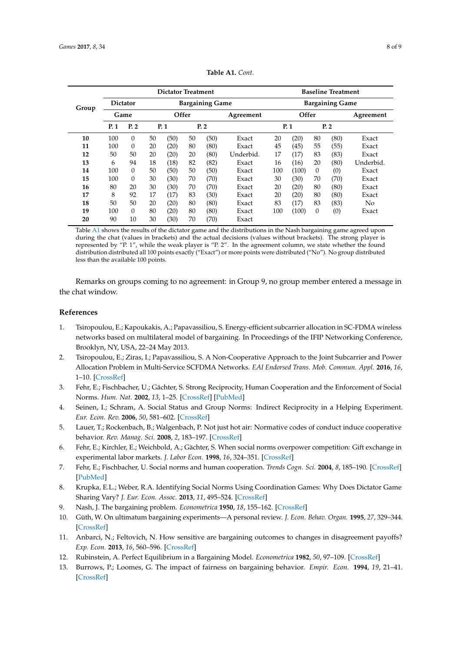<span id="page-7-13"></span>

|       | <b>Dictator Treatment</b> |                 |                        |      |    |           |            |                        | <b>Baseline Treatment</b> |          |           |           |  |  |
|-------|---------------------------|-----------------|------------------------|------|----|-----------|------------|------------------------|---------------------------|----------|-----------|-----------|--|--|
| Group |                           | <b>Dictator</b> | <b>Bargaining Game</b> |      |    |           |            | <b>Bargaining Game</b> |                           |          |           |           |  |  |
|       |                           | Game            | Offer                  |      |    | Agreement | Offer      |                        |                           |          | Agreement |           |  |  |
|       | P.1                       | P.2             | P.1<br>P.2             |      |    |           | P.1<br>P.2 |                        |                           |          |           |           |  |  |
| 10    | 100                       | $\theta$        | 50                     | (50) | 50 | (50)      | Exact      | 20                     | (20)                      | 80       | (80)      | Exact     |  |  |
| 11    | 100                       | $\theta$        | 20                     | (20) | 80 | (80)      | Exact      | 45                     | (45)                      | 55       | (55)      | Exact     |  |  |
| 12    | 50                        | 50              | 20                     | (20) | 20 | (80)      | Underbid.  | 17                     | (17)                      | 83       | (83)      | Exact     |  |  |
| 13    | 6                         | 94              | 18                     | (18) | 82 | (82)      | Exact      | 16                     | (16)                      | 20       | (80)      | Underbid. |  |  |
| 14    | 100                       | $\theta$        | 50                     | (50) | 50 | (50)      | Exact      | 100                    | (100)                     | 0        | (0)       | Exact     |  |  |
| 15    | 100                       | $\theta$        | 30                     | (30) | 70 | (70)      | Exact      | 30                     | (30)                      | 70       | (70)      | Exact     |  |  |
| 16    | 80                        | 20              | 30                     | (30) | 70 | (70)      | Exact      | 20                     | (20)                      | 80       | (80)      | Exact     |  |  |
| 17    | 8                         | 92              | 17                     | (17) | 83 | (30)      | Exact      | 20                     | (20)                      | 80       | (80)      | Exact     |  |  |
| 18    | 50                        | 50              | 20                     | (20) | 80 | (80)      | Exact      | 83                     | (17)                      | 83       | (83)      | No        |  |  |
| 19    | 100                       | $\Omega$        | 80                     | (20) | 80 | (80)      | Exact      | 100                    | (100)                     | $\theta$ | (0)       | Exact     |  |  |
| 20    | 90                        | 10              | 30                     | (30) | 70 | (70)      | Exact      |                        |                           |          |           |           |  |  |

**Table A1.** *Cont*.

Table [A1](#page-7-13) shows the results of the dictator game and the distributions in the Nash bargaining game agreed upon during the chat (values in brackets) and the actual decisions (values without brackets). The strong player is represented by "P. 1", while the weak player is "P. 2". In the agreement column, we state whether the found distribution distributed all 100 points exactly ("Exact") or more points were distributed ("No"). No group distributed less than the available 100 points.

Remarks on groups coming to no agreement: in Group 9, no group member entered a message in the chat window.

#### **References**

- <span id="page-7-0"></span>1. Tsiropoulou, E.; Kapoukakis, A.; Papavassiliou, S. Energy-efficient subcarrier allocation in SC-FDMA wireless networks based on multilateral model of bargaining. In Proceedings of the IFIP Networking Conference, Brooklyn, NY, USA, 22–24 May 2013.
- <span id="page-7-1"></span>2. Tsiropoulou, E.; Ziras, I.; Papavassiliou, S. A Non-Cooperative Approach to the Joint Subcarrier and Power Allocation Problem in Multi-Service SCFDMA Networks. *EAI Endorsed Trans. Mob. Commun. Appl.* **2016**, *16*, 1–10. [\[CrossRef\]](http://dx.doi.org/10.4108/eai.20-6-2016.151515)
- <span id="page-7-2"></span>3. Fehr, E.; Fischbacher, U.; Gächter, S. Strong Reciprocity, Human Cooperation and the Enforcement of Social Norms. *Hum. Nat.* **2002**, *13*, 1–25. [\[CrossRef\]](http://dx.doi.org/10.1007/s12110-002-1012-7) [\[PubMed\]](http://www.ncbi.nlm.nih.gov/pubmed/26192593)
- <span id="page-7-3"></span>4. Seinen, I.; Schram, A. Social Status and Group Norms: Indirect Reciprocity in a Helping Experiment. *Eur. Econ. Rev.* **2006**, *50*, 581–602. [\[CrossRef\]](http://dx.doi.org/10.1016/j.euroecorev.2004.10.005)
- <span id="page-7-4"></span>5. Lauer, T.; Rockenbach, B.; Walgenbach, P. Not just hot air: Normative codes of conduct induce cooperative behavior. *Rev. Manag. Sci.* **2008**, *2*, 183–197. [\[CrossRef\]](http://dx.doi.org/10.1007/s11846-008-0021-2)
- <span id="page-7-5"></span>6. Fehr, E.; Kirchler, E.; Weichbold, A.; Gächter, S. When social norms overpower competition: Gift exchange in experimental labor markets. *J. Labor Econ.* **1998**, *16*, 324–351. [\[CrossRef\]](http://dx.doi.org/10.1086/209891)
- <span id="page-7-6"></span>7. Fehr, E.; Fischbacher, U. Social norms and human cooperation. *Trends Cogn. Sci.* **2004**, *8*, 185–190. [\[CrossRef\]](http://dx.doi.org/10.1016/j.tics.2004.02.007) [\[PubMed\]](http://www.ncbi.nlm.nih.gov/pubmed/15050515)
- <span id="page-7-7"></span>8. Krupka, E.L.; Weber, R.A. Identifying Social Norms Using Coordination Games: Why Does Dictator Game Sharing Vary? *J. Eur. Econ. Assoc.* **2013**, *11*, 495–524. [\[CrossRef\]](http://dx.doi.org/10.1111/jeea.12006)
- <span id="page-7-8"></span>9. Nash, J. The bargaining problem. *Econometrica* **1950**, *18*, 155–162. [\[CrossRef\]](http://dx.doi.org/10.2307/1907266)
- <span id="page-7-9"></span>10. Güth, W. On ultimatum bargaining experiments—A personal review. *J. Econ. Behav. Organ.* **1995**, *27*, 329–344. [\[CrossRef\]](http://dx.doi.org/10.1016/0167-2681(94)00071-L)
- <span id="page-7-11"></span>11. Anbarci, N.; Feltovich, N. How sensitive are bargaining outcomes to changes in disagreement payoffs? *Exp. Econ.* **2013**, *16*, 560–596. [\[CrossRef\]](http://dx.doi.org/10.1007/s10683-013-9352-1)
- <span id="page-7-10"></span>12. Rubinstein, A. Perfect Equilibrium in a Bargaining Model. *Econometrica* **1982**, *50*, 97–109. [\[CrossRef\]](http://dx.doi.org/10.2307/1912531)
- <span id="page-7-12"></span>13. Burrows, P.; Loomes, G. The impact of fairness on bargaining behavior. *Empir. Econ.* **1994**, *19*, 21–41. [\[CrossRef\]](http://dx.doi.org/10.1007/BF01175872)